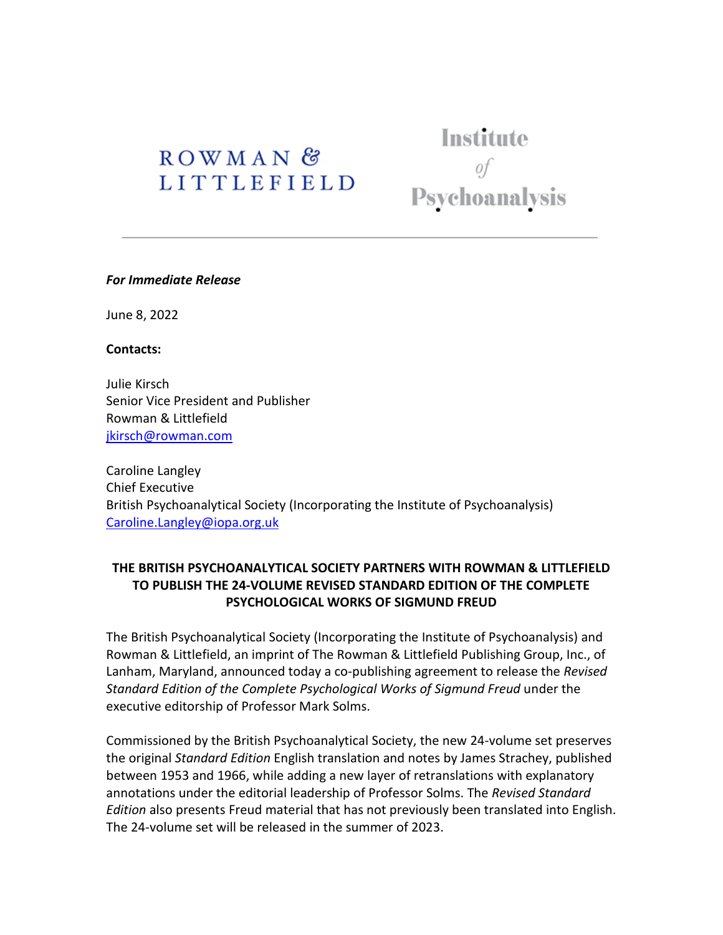# ROWMAN<sup>&</sup> **LITTLEFIELD**

Institute Psychoanalysis

#### *For Immediate Release*

June 8, 2022

#### **Contacts:**

Julie Kirsch Senior Vice President and Publisher Rowman & Littlefield [jkirsch@rowman.com](mailto:jkirsch@rowman.com) 

Caroline Langley Chief Executive British Psychoanalytical Society (Incorporating the Institute of Psychoanalysis) [Caroline.Langley@iopa.org.uk](mailto:Caroline.Langley@iopa.org.uk)

## **THE BRITISH PSYCHOANALYTICAL SOCIETY PARTNERS WITH ROWMAN & LITTLEFIELD TO PUBLISH THE 24-VOLUME REVISED STANDARD EDITION OF THE COMPLETE PSYCHOLOGICAL WORKS OF SIGMUND FREUD**

The British Psychoanalytical Society (Incorporating the Institute of Psychoanalysis) and Rowman & Littlefield, an imprint of The Rowman & Littlefield Publishing Group, Inc., of Lanham, Maryland, announced today a co-publishing agreement to release the *Revised Standard Edition of the Complete Psychological Works of Sigmund Freud* under the executive editorship of Professor Mark Solms.

Commissioned by the British Psychoanalytical Society, the new 24-volume set preserves the original *Standard Edition* English translation and notes by James Strachey, published between 1953 and 1966, while adding a new layer of retranslations with explanatory annotations under the editorial leadership of Professor Solms. The *Revised Standard Edition* also presents Freud material that has not previously been translated into English. The 24-volume set will be released in the summer of 2023.